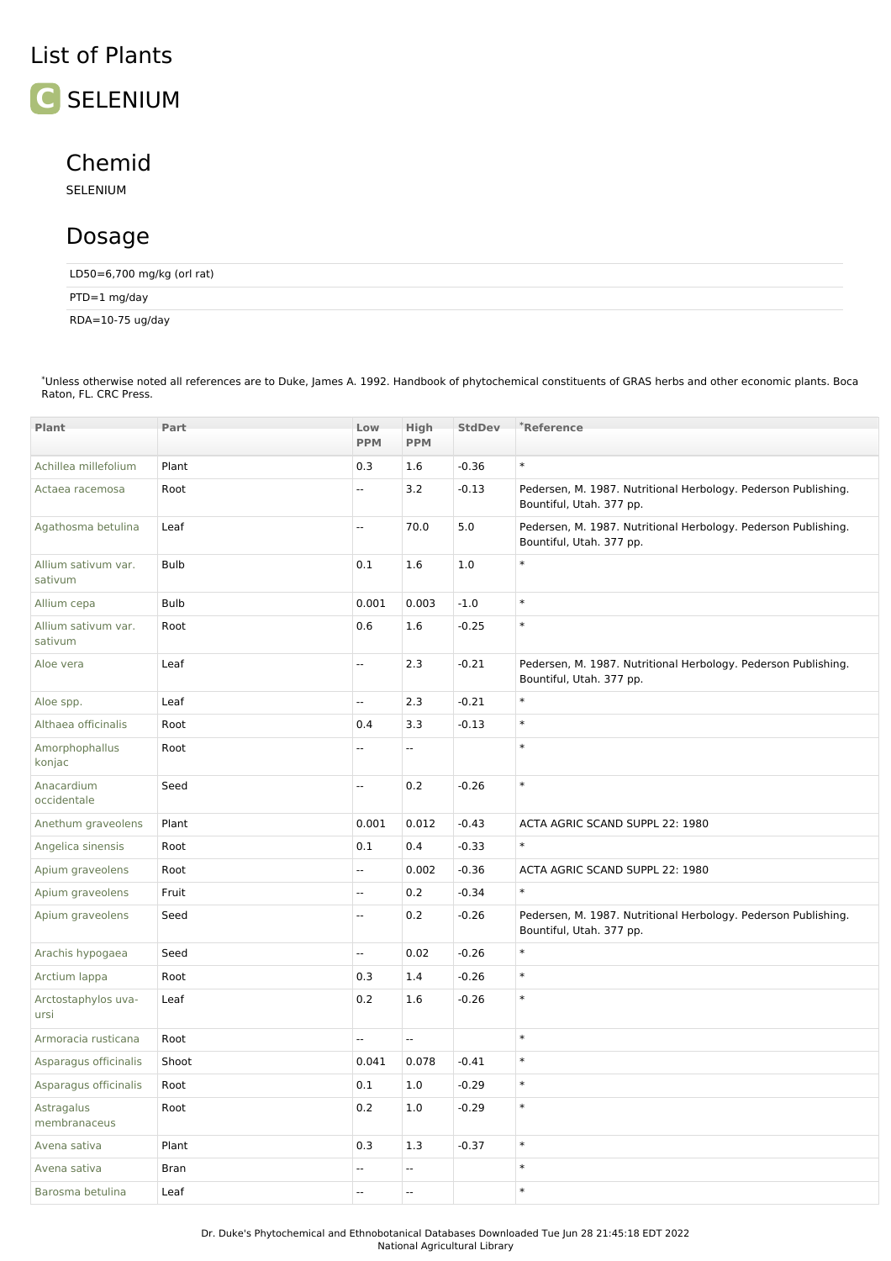## List of Plants



## Chemid

SELENIUM

## Dosage

LD50=6,700 mg/kg (orl rat)

PTD=1 mg/day

RDA=10-75 ug/day

| Plant                          | Part        | Low                      | High                     | <b>StdDev</b> | <sup>*</sup> Reference                                                                     |
|--------------------------------|-------------|--------------------------|--------------------------|---------------|--------------------------------------------------------------------------------------------|
|                                |             | <b>PPM</b>               | <b>PPM</b>               |               |                                                                                            |
| Achillea millefolium           | Plant       | 0.3                      | 1.6                      | $-0.36$       | $\ast$                                                                                     |
| Actaea racemosa                | Root        | $\overline{\phantom{a}}$ | 3.2                      | $-0.13$       | Pedersen, M. 1987. Nutritional Herbology. Pederson Publishing.<br>Bountiful, Utah. 377 pp. |
| Agathosma betulina             | Leaf        | $\mathbb{Z}^2$           | 70.0                     | 5.0           | Pedersen, M. 1987. Nutritional Herbology. Pederson Publishing.<br>Bountiful, Utah. 377 pp. |
| Allium sativum var.<br>sativum | <b>Bulb</b> | 0.1                      | 1.6                      | 1.0           | $\ast$                                                                                     |
| Allium cepa                    | <b>Bulb</b> | 0.001                    | 0.003                    | $-1.0$        | $\ast$                                                                                     |
| Allium sativum var.<br>sativum | Root        | 0.6                      | 1.6                      | $-0.25$       | $\ast$                                                                                     |
| Aloe vera                      | Leaf        | Ξ.                       | 2.3                      | $-0.21$       | Pedersen, M. 1987. Nutritional Herbology. Pederson Publishing.<br>Bountiful, Utah. 377 pp. |
| Aloe spp.                      | Leaf        | $\overline{\phantom{a}}$ | 2.3                      | $-0.21$       | $\ast$                                                                                     |
| Althaea officinalis            | Root        | 0.4                      | 3.3                      | $-0.13$       | $\ast$                                                                                     |
| Amorphophallus<br>konjac       | Root        | $\overline{\phantom{a}}$ | $\overline{\phantom{a}}$ |               | $\ast$                                                                                     |
| Anacardium<br>occidentale      | Seed        | $\overline{\phantom{a}}$ | 0.2                      | $-0.26$       | $\ast$                                                                                     |
| Anethum graveolens             | Plant       | 0.001                    | 0.012                    | $-0.43$       | ACTA AGRIC SCAND SUPPL 22: 1980                                                            |
| Angelica sinensis              | Root        | 0.1                      | 0.4                      | $-0.33$       | $\ast$                                                                                     |
| Apium graveolens               | Root        | $\overline{\phantom{a}}$ | 0.002                    | $-0.36$       | ACTA AGRIC SCAND SUPPL 22: 1980                                                            |
| Apium graveolens               | Fruit       | Ξ.                       | 0.2                      | $-0.34$       | $\ast$                                                                                     |
| Apium graveolens               | Seed        | $\overline{\phantom{a}}$ | 0.2                      | $-0.26$       | Pedersen, M. 1987. Nutritional Herbology. Pederson Publishing.<br>Bountiful, Utah. 377 pp. |
| Arachis hypogaea               | Seed        | $\overline{\phantom{a}}$ | 0.02                     | $-0.26$       | $\ast$                                                                                     |
| Arctium lappa                  | Root        | 0.3                      | 1.4                      | $-0.26$       | $\ast$                                                                                     |
| Arctostaphylos uva-<br>ursi    | Leaf        | 0.2                      | 1.6                      | $-0.26$       | $\ast$                                                                                     |
| Armoracia rusticana            | Root        | $\overline{\phantom{a}}$ | Ξ.                       |               | $\ast$                                                                                     |
| Asparagus officinalis          | Shoot       | 0.041                    | 0.078                    | $-0.41$       | $\ast$                                                                                     |
| Asparagus officinalis          | Root        | 0.1                      | 1.0                      | $-0.29$       | $\ast$                                                                                     |
| Astragalus<br>membranaceus     | Root        | 0.2                      | 1.0                      | $-0.29$       | $\ast$                                                                                     |
| Avena sativa                   | Plant       | 0.3                      | 1.3                      | $-0.37$       | $\ast$                                                                                     |
| Avena sativa                   | Bran        | ۰.                       | Ξ.                       |               | $\ast$                                                                                     |
| Barosma betulina               | Leaf        | $\overline{\phantom{a}}$ | --                       |               | $\ast$                                                                                     |
|                                |             |                          |                          |               |                                                                                            |

\*Unless otherwise noted all references are to Duke, James A. 1992. Handbook of phytochemical constituents of GRAS herbs and other economic plants. Boca Raton, FL. CRC Press.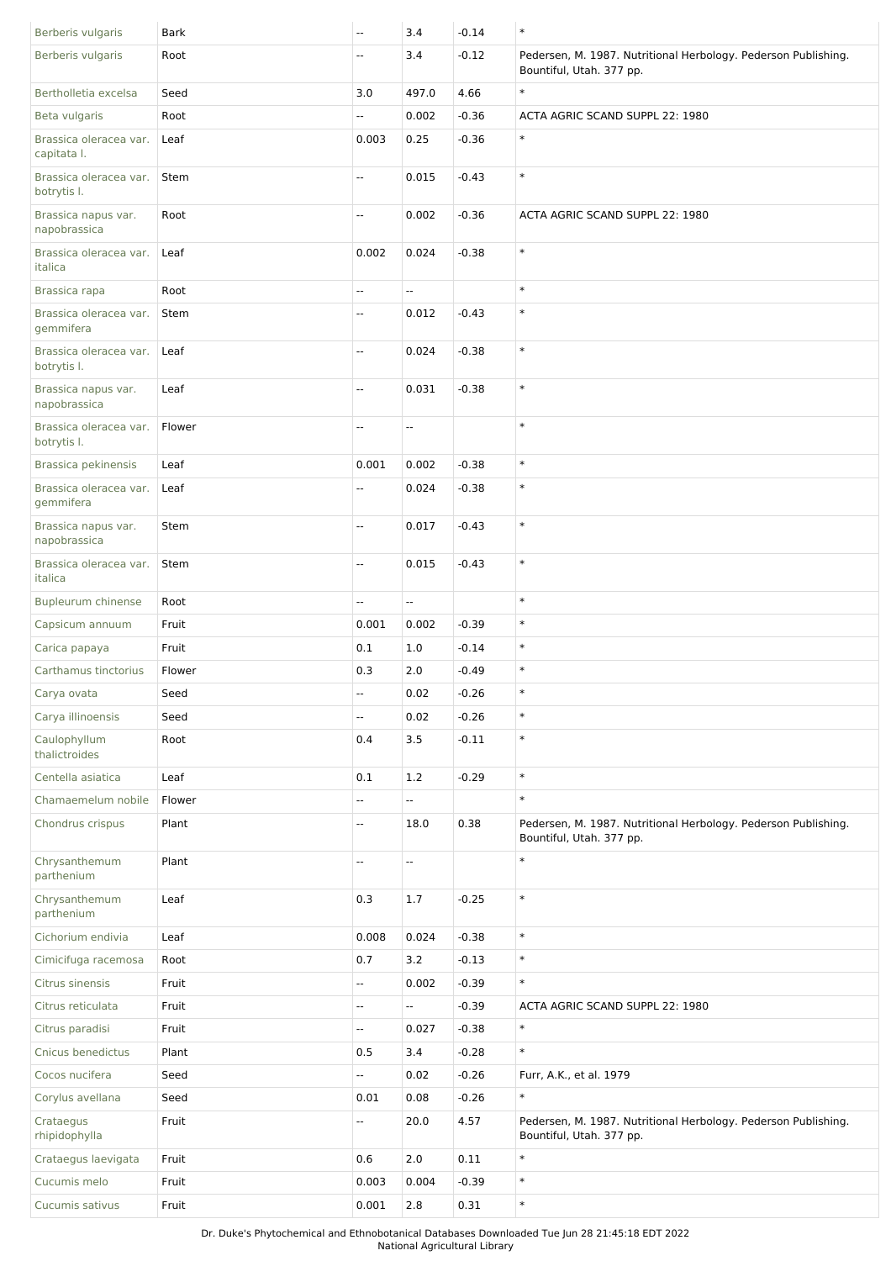| Berberis vulgaris                     | <b>Bark</b> | $\overline{\phantom{a}}$ | 3.4                      | $-0.14$ | $\ast$                                                                                     |
|---------------------------------------|-------------|--------------------------|--------------------------|---------|--------------------------------------------------------------------------------------------|
| Berberis vulgaris                     | Root        | Щ,                       | 3.4                      | $-0.12$ | Pedersen, M. 1987. Nutritional Herbology. Pederson Publishing.<br>Bountiful, Utah. 377 pp. |
| Bertholletia excelsa                  | Seed        | 3.0                      | 497.0                    | 4.66    | $\ast$                                                                                     |
| Beta vulgaris                         | Root        | Щ.                       | 0.002                    | $-0.36$ | ACTA AGRIC SCAND SUPPL 22: 1980                                                            |
| Brassica oleracea var.<br>capitata I. | Leaf        | 0.003                    | 0.25                     | $-0.36$ | $\ast$                                                                                     |
| Brassica oleracea var.<br>botrytis I. | Stem        | uu.                      | 0.015                    | $-0.43$ | $\ast$                                                                                     |
| Brassica napus var.<br>napobrassica   | Root        | u.                       | 0.002                    | $-0.36$ | ACTA AGRIC SCAND SUPPL 22: 1980                                                            |
| Brassica oleracea var.<br>italica     | Leaf        | 0.002                    | 0.024                    | $-0.38$ | $\ast$                                                                                     |
| Brassica rapa                         | Root        | Щ,                       | u.                       |         | $\ast$                                                                                     |
| Brassica oleracea var.<br>gemmifera   | Stem        | u.                       | 0.012                    | $-0.43$ | $\ast$                                                                                     |
| Brassica oleracea var.<br>botrytis I. | Leaf        | Щ.                       | 0.024                    | $-0.38$ | $\ast$                                                                                     |
| Brassica napus var.<br>napobrassica   | Leaf        | н.                       | 0.031                    | $-0.38$ | $\ast$                                                                                     |
| Brassica oleracea var.<br>botrytis I. | Flower      | $\overline{\phantom{a}}$ | Ξ.                       |         | $\ast$                                                                                     |
| Brassica pekinensis                   | Leaf        | 0.001                    | 0.002                    | $-0.38$ | $\ast$                                                                                     |
| Brassica oleracea var.<br>gemmifera   | Leaf        | Щ.                       | 0.024                    | $-0.38$ | $\ast$                                                                                     |
| Brassica napus var.<br>napobrassica   | Stem        | $\overline{\phantom{a}}$ | 0.017                    | $-0.43$ | $\ast$                                                                                     |
| Brassica oleracea var.<br>italica     | Stem        | $\overline{a}$           | 0.015                    | $-0.43$ | $\ast$                                                                                     |
| Bupleurum chinense                    | Root        | $\overline{a}$           | L.                       |         | $\ast$                                                                                     |
| Capsicum annuum                       | Fruit       | 0.001                    | 0.002                    | $-0.39$ | $\ast$                                                                                     |
| Carica papaya                         | Fruit       | 0.1                      | 1.0                      | $-0.14$ | $\ast$                                                                                     |
| Carthamus tinctorius                  | Flower      | 0.3                      | 2.0                      | $-0.49$ | $\ast$                                                                                     |
| Carya ovata                           | Seed        | Щ.                       | 0.02                     | $-0.26$ | $\ast$                                                                                     |
| Carya illinoensis                     | Seed        | Ξ.                       | 0.02                     | $-0.26$ | $\ast$                                                                                     |
| Caulophyllum<br>thalictroides         | Root        | 0.4                      | 3.5                      | $-0.11$ | $\ast$                                                                                     |
| Centella asiatica                     | Leaf        | 0.1                      | 1.2                      | $-0.29$ | $\ast$                                                                                     |
| Chamaemelum nobile                    | Flower      | Ξ.                       | щ.                       |         | $\ast$                                                                                     |
| Chondrus crispus                      | Plant       | $\overline{\phantom{a}}$ | 18.0                     | 0.38    | Pedersen, M. 1987. Nutritional Herbology. Pederson Publishing.<br>Bountiful, Utah. 377 pp. |
| Chrysanthemum<br>parthenium           | Plant       | $\overline{\phantom{a}}$ | $\overline{\phantom{a}}$ |         | $\ast$                                                                                     |
| Chrysanthemum<br>parthenium           | Leaf        | 0.3                      | 1.7                      | $-0.25$ | $\ast$                                                                                     |
| Cichorium endivia                     | Leaf        | 0.008                    | 0.024                    | $-0.38$ | $\ast$                                                                                     |
| Cimicifuga racemosa                   | Root        | 0.7                      | 3.2                      | $-0.13$ | $\ast$                                                                                     |
| Citrus sinensis                       | Fruit       | u.                       | 0.002                    | $-0.39$ | $\ast$                                                                                     |
| Citrus reticulata                     | Fruit       | Ξ.                       | Ξ.                       | $-0.39$ | ACTA AGRIC SCAND SUPPL 22: 1980                                                            |
| Citrus paradisi                       | Fruit       | щ.                       | 0.027                    | $-0.38$ | $\ast$                                                                                     |
| Cnicus benedictus                     | Plant       | 0.5                      | 3.4                      | $-0.28$ | $\ast$                                                                                     |
| Cocos nucifera                        | Seed        | Ξ.                       | 0.02                     | $-0.26$ | Furr, A.K., et al. 1979                                                                    |
| Corylus avellana                      | Seed        | 0.01                     | 0.08                     | $-0.26$ | $\ast$                                                                                     |
| Crataegus<br>rhipidophylla            | Fruit       | щ.                       | 20.0                     | 4.57    | Pedersen, M. 1987. Nutritional Herbology. Pederson Publishing.<br>Bountiful, Utah. 377 pp. |
| Crataegus laevigata                   | Fruit       | 0.6                      | 2.0                      | 0.11    | $\ast$                                                                                     |
| Cucumis melo                          | Fruit       | 0.003                    | 0.004                    | $-0.39$ | $\ast$                                                                                     |
| Cucumis sativus                       | Fruit       | 0.001                    | $2.8$                    | 0.31    | $\ast$                                                                                     |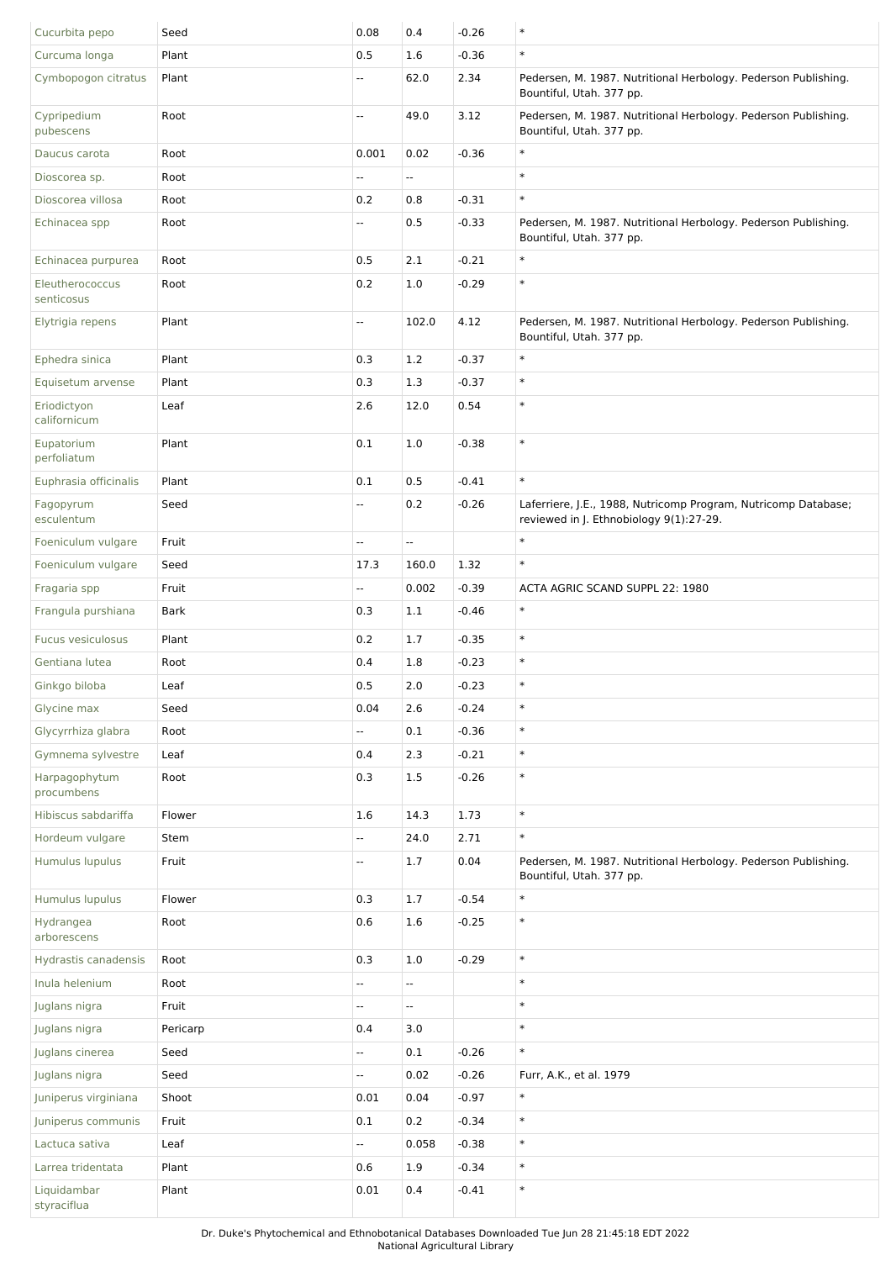| Cucurbita pepo                | Seed     | 0.08                     | 0.4                      | $-0.26$ | $\ast$                                                                                                    |
|-------------------------------|----------|--------------------------|--------------------------|---------|-----------------------------------------------------------------------------------------------------------|
| Curcuma longa                 | Plant    | 0.5                      | 1.6                      | $-0.36$ | $\ast$                                                                                                    |
| Cymbopogon citratus           | Plant    | Ξ.                       | 62.0                     | 2.34    | Pedersen, M. 1987. Nutritional Herbology. Pederson Publishing.<br>Bountiful, Utah. 377 pp.                |
| Cypripedium<br>pubescens      | Root     | Ξ.                       | 49.0                     | 3.12    | Pedersen, M. 1987. Nutritional Herbology. Pederson Publishing.<br>Bountiful, Utah. 377 pp.                |
| Daucus carota                 | Root     | 0.001                    | 0.02                     | $-0.36$ | $\ast$                                                                                                    |
| Dioscorea sp.                 | Root     | ۰.                       | $\overline{\phantom{a}}$ |         | $\ast$                                                                                                    |
| Dioscorea villosa             | Root     | 0.2                      | 0.8                      | $-0.31$ | $\ast$                                                                                                    |
| Echinacea spp                 | Root     | ۰.                       | 0.5                      | $-0.33$ | Pedersen, M. 1987. Nutritional Herbology. Pederson Publishing.<br>Bountiful, Utah. 377 pp.                |
| Echinacea purpurea            | Root     | 0.5                      | 2.1                      | $-0.21$ | $\ast$                                                                                                    |
| Eleutherococcus<br>senticosus | Root     | 0.2                      | 1.0                      | $-0.29$ | $\ast$                                                                                                    |
| Elytrigia repens              | Plant    | Щ,                       | 102.0                    | 4.12    | Pedersen, M. 1987. Nutritional Herbology. Pederson Publishing.<br>Bountiful, Utah. 377 pp.                |
| Ephedra sinica                | Plant    | 0.3                      | 1.2                      | $-0.37$ | $\ast$                                                                                                    |
| Equisetum arvense             | Plant    | 0.3                      | 1.3                      | $-0.37$ | $\ast$                                                                                                    |
| Eriodictyon<br>californicum   | Leaf     | 2.6                      | 12.0                     | 0.54    | $\ast$                                                                                                    |
| Eupatorium<br>perfoliatum     | Plant    | 0.1                      | 1.0                      | $-0.38$ | $\ast$                                                                                                    |
| Euphrasia officinalis         | Plant    | 0.1                      | 0.5                      | $-0.41$ | $\ast$                                                                                                    |
| Fagopyrum<br>esculentum       | Seed     | Щ,                       | 0.2                      | $-0.26$ | Laferriere, J.E., 1988, Nutricomp Program, Nutricomp Database;<br>reviewed in J. Ethnobiology 9(1):27-29. |
| Foeniculum vulgare            | Fruit    | Ξ.                       | Ξ.                       |         | $\ast$                                                                                                    |
| Foeniculum vulgare            | Seed     | 17.3                     | 160.0                    | 1.32    | $\ast$                                                                                                    |
| Fragaria spp                  | Fruit    | Ξ.                       | 0.002                    | $-0.39$ | ACTA AGRIC SCAND SUPPL 22: 1980                                                                           |
| Frangula purshiana            | Bark     | 0.3                      | 1.1                      | $-0.46$ | $\ast$                                                                                                    |
| Fucus vesiculosus             | Plant    | 0.2                      | 1.7                      | $-0.35$ | $\ast$                                                                                                    |
| Gentiana lutea                | Root     | 0.4                      | 1.8                      | $-0.23$ | $\ast$                                                                                                    |
| Ginkgo biloba                 | Leaf     | 0.5                      | 2.0                      | $-0.23$ | $\ast$                                                                                                    |
| Glycine max                   | Seed     | 0.04                     | $2.6$                    | $-0.24$ | $\ast$                                                                                                    |
| Glycyrrhiza glabra            | Root     | Ξ.                       | 0.1                      | $-0.36$ | $\ast$                                                                                                    |
| Gymnema sylvestre             | Leaf     | 0.4                      | 2.3                      | $-0.21$ | $\ast$                                                                                                    |
| Harpagophytum<br>procumbens   | Root     | 0.3                      | 1.5                      | $-0.26$ | $\ast$                                                                                                    |
| Hibiscus sabdariffa           | Flower   | 1.6                      | 14.3                     | 1.73    | $\ast$                                                                                                    |
| Hordeum vulgare               | Stem     | Ξ.                       | 24.0                     | 2.71    | $\ast$                                                                                                    |
| Humulus lupulus               | Fruit    | $\overline{\phantom{a}}$ | 1.7                      | 0.04    | Pedersen, M. 1987. Nutritional Herbology. Pederson Publishing.<br>Bountiful, Utah. 377 pp.                |
| Humulus lupulus               | Flower   | 0.3                      | 1.7                      | $-0.54$ | $\ast$                                                                                                    |
| Hydrangea<br>arborescens      | Root     | 0.6                      | 1.6                      | $-0.25$ | $\ast$                                                                                                    |
| Hydrastis canadensis          | Root     | 0.3                      | 1.0                      | $-0.29$ | $\ast$                                                                                                    |
| Inula helenium                | Root     | Ξ.                       | Ξ.                       |         | $\ast$                                                                                                    |
| Juglans nigra                 | Fruit    | Ξ.                       | Ξ.                       |         | $\ast$                                                                                                    |
| Juglans nigra                 | Pericarp | 0.4                      | 3.0                      |         | $\ast$                                                                                                    |
| Juglans cinerea               | Seed     | Ξ.                       | 0.1                      | $-0.26$ | $\ast$                                                                                                    |
| Juglans nigra                 | Seed     | Ξ.                       | 0.02                     | $-0.26$ | Furr, A.K., et al. 1979                                                                                   |
| Juniperus virginiana          | Shoot    | 0.01                     | 0.04                     | $-0.97$ | $\ast$                                                                                                    |
| Juniperus communis            | Fruit    | 0.1                      | 0.2                      | $-0.34$ | $\ast$                                                                                                    |
| Lactuca sativa                | Leaf     | u.                       | 0.058                    | $-0.38$ | $\ast$                                                                                                    |
| Larrea tridentata             | Plant    | 0.6                      | 1.9                      | $-0.34$ | $\ast$                                                                                                    |
| Liquidambar<br>styraciflua    | Plant    | 0.01                     | 0.4                      | $-0.41$ | $\ast$                                                                                                    |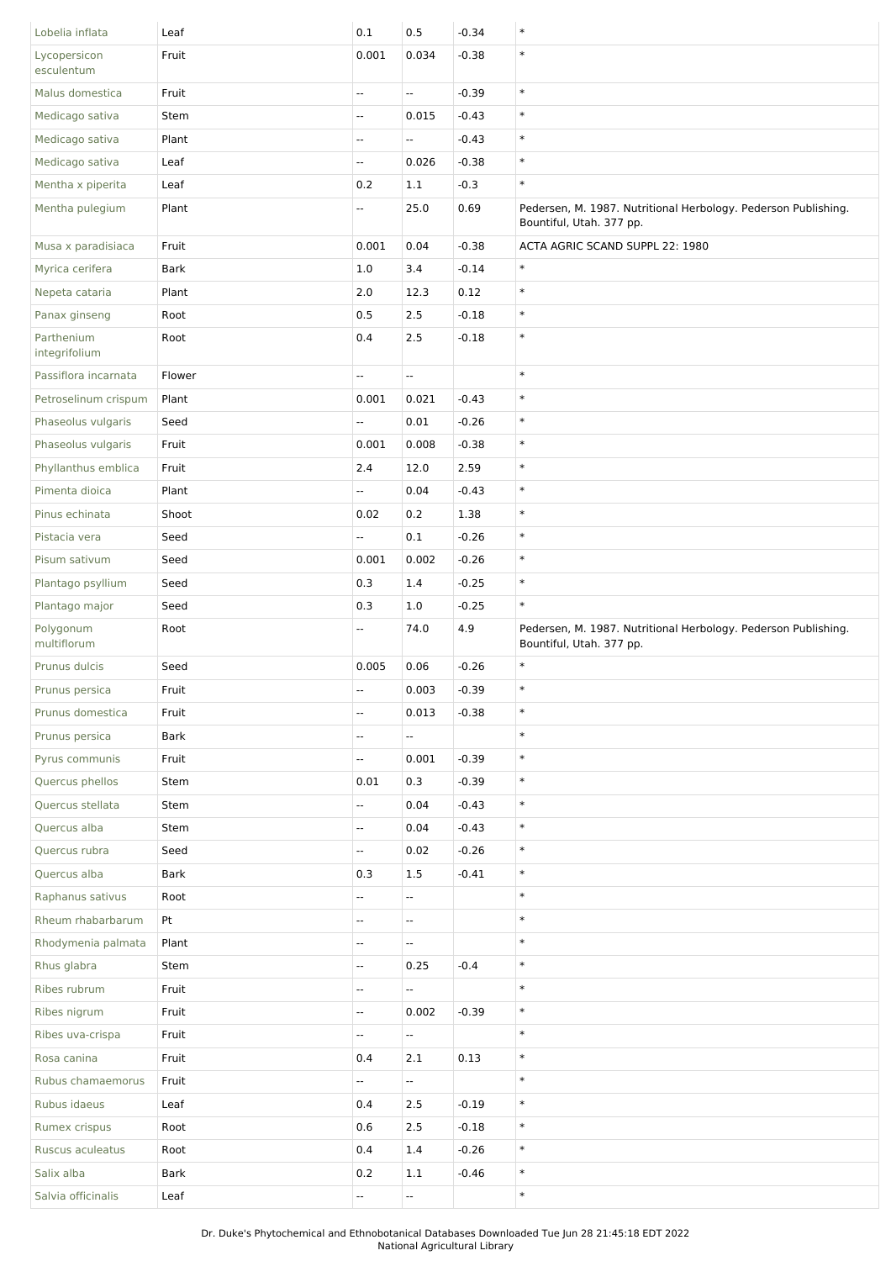| Lobelia inflata             | Leaf        | 0.1                      | 0.5                      | $-0.34$ | $\ast$                                                                                     |
|-----------------------------|-------------|--------------------------|--------------------------|---------|--------------------------------------------------------------------------------------------|
| Lycopersicon<br>esculentum  | Fruit       | 0.001                    | 0.034                    | $-0.38$ | $\ast$                                                                                     |
| Malus domestica             | Fruit       | Ξ.                       | $\overline{\phantom{a}}$ | $-0.39$ | $\ast$                                                                                     |
| Medicago sativa             | Stem        | u.                       | 0.015                    | $-0.43$ | $\ast$                                                                                     |
| Medicago sativa             | Plant       | --                       | $\overline{\phantom{a}}$ | $-0.43$ | $\ast$                                                                                     |
| Medicago sativa             | Leaf        | Ξ.                       | 0.026                    | $-0.38$ | $\ast$                                                                                     |
| Mentha x piperita           | Leaf        | 0.2                      | 1.1                      | $-0.3$  | $\ast$                                                                                     |
| Mentha pulegium             | Plant       | Щ.                       | 25.0                     | 0.69    | Pedersen, M. 1987. Nutritional Herbology. Pederson Publishing.<br>Bountiful, Utah. 377 pp. |
| Musa x paradisiaca          | Fruit       | 0.001                    | 0.04                     | $-0.38$ | ACTA AGRIC SCAND SUPPL 22: 1980                                                            |
| Myrica cerifera             | <b>Bark</b> | 1.0                      | 3.4                      | $-0.14$ | $\ast$                                                                                     |
| Nepeta cataria              | Plant       | 2.0                      | 12.3                     | 0.12    | $\ast$                                                                                     |
| Panax ginseng               | Root        | 0.5                      | 2.5                      | $-0.18$ | $\ast$                                                                                     |
| Parthenium<br>integrifolium | Root        | 0.4                      | 2.5                      | $-0.18$ | $\ast$                                                                                     |
| Passiflora incarnata        | Flower      | u.                       | ÷.                       |         | $\ast$                                                                                     |
| Petroselinum crispum        | Plant       | 0.001                    | 0.021                    | $-0.43$ | $\ast$                                                                                     |
| Phaseolus vulgaris          | Seed        | Ξ.                       | 0.01                     | $-0.26$ | $\ast$                                                                                     |
| Phaseolus vulgaris          | Fruit       | 0.001                    | 0.008                    | $-0.38$ | $\ast$                                                                                     |
| Phyllanthus emblica         | Fruit       | 2.4                      | 12.0                     | 2.59    | $\ast$                                                                                     |
| Pimenta dioica              | Plant       | Ξ.                       | 0.04                     | $-0.43$ | $\ast$                                                                                     |
| Pinus echinata              | Shoot       | 0.02                     | $0.2\,$                  | 1.38    | $\ast$                                                                                     |
| Pistacia vera               | Seed        | Ξ.                       | 0.1                      | $-0.26$ | $\ast$                                                                                     |
| Pisum sativum               | Seed        | 0.001                    | 0.002                    | $-0.26$ | $\ast$                                                                                     |
| Plantago psyllium           | Seed        | 0.3                      | 1.4                      | $-0.25$ | $\ast$                                                                                     |
| Plantago major              | Seed        | 0.3                      | 1.0                      | $-0.25$ | $\ast$                                                                                     |
| Polygonum<br>multiflorum    | Root        | --                       | 74.0                     | 4.9     | Pedersen, M. 1987. Nutritional Herbology. Pederson Publishing.<br>Bountiful, Utah. 377 pp. |
|                             |             |                          |                          |         |                                                                                            |
| Prunus dulcis               | Seed        | 0.005                    | 0.06                     | $-0.26$ | $\ast$                                                                                     |
| Prunus persica              | Fruit       | $\overline{\phantom{a}}$ | 0.003                    | $-0.39$ | $\ast$                                                                                     |
| Prunus domestica            | Fruit       | --                       | 0.013                    | $-0.38$ | $\ast$                                                                                     |
| Prunus persica              | Bark        | u.                       | ÷.                       |         | $\ast$                                                                                     |
| Pyrus communis              | Fruit       | $\overline{\phantom{a}}$ | 0.001                    | $-0.39$ | $\ast$                                                                                     |
| Quercus phellos             | Stem        | 0.01                     | 0.3                      | $-0.39$ | $\ast$                                                                                     |
| Quercus stellata            | Stem        | Ξ.                       | 0.04                     | $-0.43$ | $\ast$                                                                                     |
| Quercus alba                | Stem        | Ξ.                       | 0.04                     | $-0.43$ | $\ast$                                                                                     |
| Quercus rubra               | Seed        | 4                        | 0.02                     | $-0.26$ | $\ast$                                                                                     |
| Quercus alba                | <b>Bark</b> | 0.3                      | 1.5                      | $-0.41$ | $\ast$                                                                                     |
| Raphanus sativus            | Root        | Ξ.                       | $\overline{\phantom{a}}$ |         | $\ast$                                                                                     |
| Rheum rhabarbarum           | Pt          | Щ,                       | Ξ.                       |         | $\ast$                                                                                     |
| Rhodymenia palmata          | Plant       | --                       | $\overline{\phantom{a}}$ |         | $\ast$                                                                                     |
| Rhus glabra                 | Stem        | Ξ.                       | 0.25                     | $-0.4$  | $\ast$                                                                                     |
| Ribes rubrum                | Fruit       | Ξ.                       | $\overline{\phantom{a}}$ |         | $\ast$                                                                                     |
| Ribes nigrum                | Fruit       | Ξ.                       | 0.002                    | $-0.39$ | $\ast$                                                                                     |
| Ribes uva-crispa            | Fruit       | 4                        | ۰.                       |         | $\ast$                                                                                     |
| Rosa canina                 | Fruit       | 0.4                      | 2.1                      | 0.13    | $\ast$                                                                                     |
| Rubus chamaemorus           | Fruit       | Щ,                       | $\overline{\phantom{a}}$ |         | $\ast$                                                                                     |
| Rubus idaeus                | Leaf        | 0.4                      | 2.5                      | $-0.19$ | $\ast$                                                                                     |
| Rumex crispus               | Root        | 0.6                      | $2.5\,$                  | $-0.18$ | $\ast$                                                                                     |
| Ruscus aculeatus            | Root        | 0.4                      | 1.4                      | $-0.26$ | $\ast$                                                                                     |
| Salix alba                  | Bark        | 0.2                      | 1.1                      | $-0.46$ | $\ast$                                                                                     |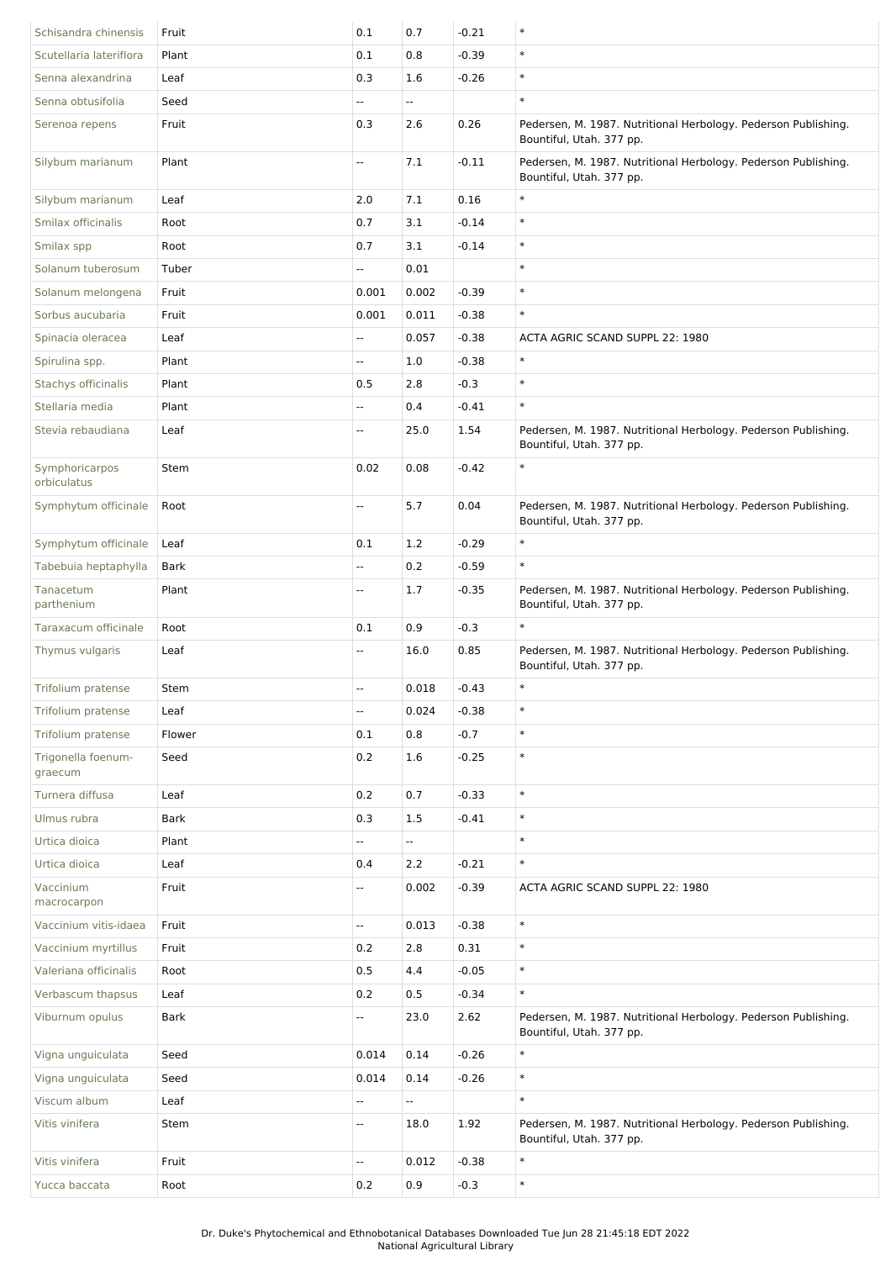| Schisandra chinensis          | Fruit       | 0.1                       | 0.7                      | $-0.21$ | $\ast$                                                                                     |
|-------------------------------|-------------|---------------------------|--------------------------|---------|--------------------------------------------------------------------------------------------|
| Scutellaria lateriflora       | Plant       | 0.1                       | 0.8                      | $-0.39$ | $\ast$                                                                                     |
| Senna alexandrina             | Leaf        | 0.3                       | 1.6                      | $-0.26$ | $\ast$                                                                                     |
| Senna obtusifolia             | Seed        |                           | u.                       |         | $\ast$                                                                                     |
| Serenoa repens                | Fruit       | 0.3                       | 2.6                      | 0.26    | Pedersen, M. 1987. Nutritional Herbology. Pederson Publishing.<br>Bountiful, Utah. 377 pp. |
| Silybum marianum              | Plant       | $\mathbb{L}^{\mathbb{L}}$ | 7.1                      | $-0.11$ | Pedersen, M. 1987. Nutritional Herbology. Pederson Publishing.<br>Bountiful, Utah. 377 pp. |
| Silybum marianum              | Leaf        | 2.0                       | 7.1                      | 0.16    | $\ast$                                                                                     |
| Smilax officinalis            | Root        | 0.7                       | 3.1                      | $-0.14$ | $\ast$                                                                                     |
| Smilax spp                    | Root        | 0.7                       | 3.1                      | $-0.14$ | $\ast$                                                                                     |
| Solanum tuberosum             | Tuber       | н.                        | 0.01                     |         | $\ast$                                                                                     |
| Solanum melongena             | Fruit       | 0.001                     | 0.002                    | $-0.39$ | $\ast$                                                                                     |
| Sorbus aucubaria              | Fruit       | 0.001                     | 0.011                    | $-0.38$ | $\ast$                                                                                     |
| Spinacia oleracea             | Leaf        | --                        | 0.057                    | $-0.38$ | ACTA AGRIC SCAND SUPPL 22: 1980                                                            |
| Spirulina spp.                | Plant       | Ξ.                        | 1.0                      | $-0.38$ | $\ast$                                                                                     |
| Stachys officinalis           | Plant       | 0.5                       | 2.8                      | $-0.3$  | $\ast$                                                                                     |
| Stellaria media               | Plant       | --                        | 0.4                      | $-0.41$ | $\ast$                                                                                     |
| Stevia rebaudiana             | Leaf        | --                        | 25.0                     | 1.54    | Pedersen, M. 1987. Nutritional Herbology. Pederson Publishing.<br>Bountiful, Utah. 377 pp. |
| Symphoricarpos<br>orbiculatus | Stem        | 0.02                      | 0.08                     | $-0.42$ | $\ast$                                                                                     |
| Symphytum officinale          | Root        | Ξ.                        | 5.7                      | 0.04    | Pedersen, M. 1987. Nutritional Herbology. Pederson Publishing.<br>Bountiful, Utah. 377 pp. |
| Symphytum officinale          | Leaf        | 0.1                       | $1.2\,$                  | $-0.29$ | $\ast$                                                                                     |
| Tabebuia heptaphylla          | <b>Bark</b> | --                        | 0.2                      | $-0.59$ | $\ast$                                                                                     |
| Tanacetum<br>parthenium       | Plant       | --                        | 1.7                      | $-0.35$ | Pedersen, M. 1987. Nutritional Herbology. Pederson Publishing.<br>Bountiful, Utah. 377 pp. |
| Taraxacum officinale          | Root        | 0.1                       | 0.9                      | $-0.3$  | $\ast$                                                                                     |
| Thymus vulgaris               | Leaf        | --                        | 16.0                     | 0.85    | Pedersen, M. 1987. Nutritional Herbology. Pederson Publishing.<br>Bountiful, Utah. 377 pp. |
| Trifolium pratense            | Stem        | --                        | 0.018                    | $-0.43$ | $\ast$                                                                                     |
| Trifolium pratense            | Leaf        | $\overline{\phantom{a}}$  | 0.024                    | $-0.38$ | $\ast$                                                                                     |
| Trifolium pratense            | Flower      | 0.1                       | 0.8                      | $-0.7$  | $\ast$                                                                                     |
| Trigonella foenum-<br>graecum | Seed        | 0.2                       | 1.6                      | $-0.25$ | $\ast$                                                                                     |
| Turnera diffusa               | Leaf        | $0.2\,$                   | 0.7                      | $-0.33$ | $\ast$                                                                                     |
| Ulmus rubra                   | <b>Bark</b> | 0.3                       | 1.5                      | $-0.41$ | $\ast$                                                                                     |
| Urtica dioica                 | Plant       | Щ.                        | Ξ.                       |         | $\ast$                                                                                     |
| Urtica dioica                 | Leaf        | 0.4                       | 2.2                      | $-0.21$ | $\ast$                                                                                     |
| Vaccinium<br>macrocarpon      | Fruit       | Ξ.                        | 0.002                    | $-0.39$ | ACTA AGRIC SCAND SUPPL 22: 1980                                                            |
| Vaccinium vitis-idaea         | Fruit       | $\overline{\phantom{a}}$  | 0.013                    | $-0.38$ | $\ast$                                                                                     |
| Vaccinium myrtillus           | Fruit       | 0.2                       | 2.8                      | 0.31    | $\ast$                                                                                     |
| Valeriana officinalis         | Root        | 0.5                       | 4.4                      | $-0.05$ | $\ast$                                                                                     |
| Verbascum thapsus             | Leaf        | 0.2                       | 0.5                      | $-0.34$ | $\ast$                                                                                     |
| Viburnum opulus               | <b>Bark</b> | щ.                        | 23.0                     | 2.62    | Pedersen, M. 1987. Nutritional Herbology. Pederson Publishing.<br>Bountiful, Utah. 377 pp. |
| Vigna unguiculata             | Seed        | 0.014                     | 0.14                     | $-0.26$ | $\ast$                                                                                     |
| Vigna unguiculata             | Seed        | 0.014                     | 0.14                     | $-0.26$ | $\ast$                                                                                     |
| Viscum album                  | Leaf        | ٠.                        | $\overline{\phantom{a}}$ |         | $\ast$                                                                                     |
| Vitis vinifera                | Stem        | Ξ.                        | 18.0                     | 1.92    | Pedersen, M. 1987. Nutritional Herbology. Pederson Publishing.<br>Bountiful, Utah. 377 pp. |
| Vitis vinifera                | Fruit       | Ξ.                        | 0.012                    | $-0.38$ | $\ast$                                                                                     |
| Yucca baccata                 | Root        | 0.2                       | 0.9                      | $-0.3$  | $\ast$                                                                                     |